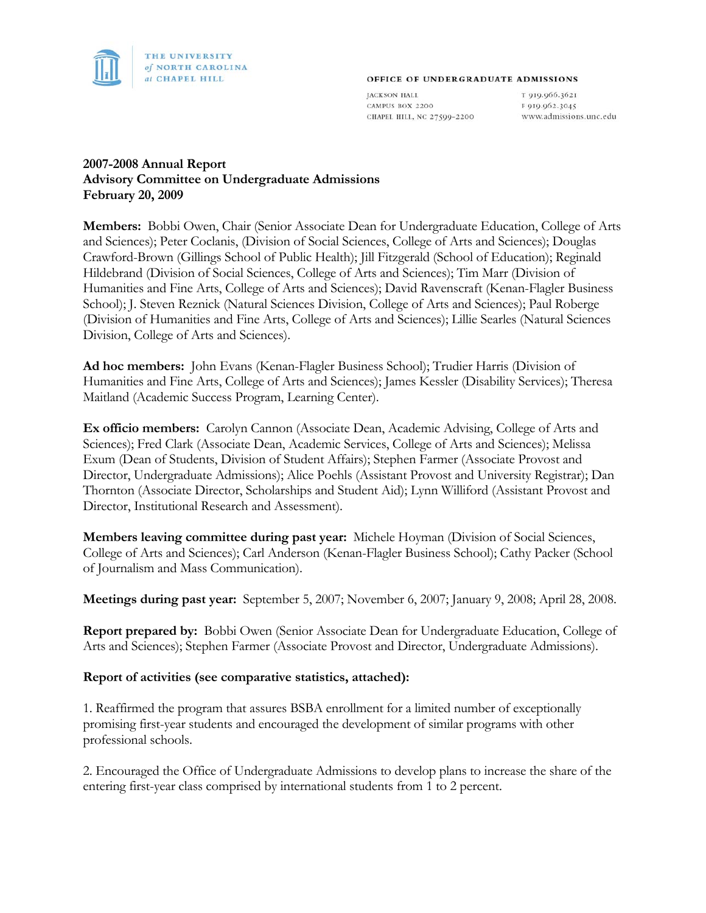

#### OFFICE OF UNDERGRADUATE ADMISSIONS

**JACKSON HALL** CAMPUS BOX 2200 CHAPEL HILL, NC 27599-2200

T 919.966.3621 F 919.962.3045 www.admissions.unc.edu

### **2007-2008 Annual Report Advisory Committee on Undergraduate Admissions February 20, 2009**

**Members:** Bobbi Owen, Chair (Senior Associate Dean for Undergraduate Education, College of Arts and Sciences); Peter Coclanis, (Division of Social Sciences, College of Arts and Sciences); Douglas Crawford-Brown (Gillings School of Public Health); Jill Fitzgerald (School of Education); Reginald Hildebrand (Division of Social Sciences, College of Arts and Sciences); Tim Marr (Division of Humanities and Fine Arts, College of Arts and Sciences); David Ravenscraft (Kenan-Flagler Business School); J. Steven Reznick (Natural Sciences Division, College of Arts and Sciences); Paul Roberge (Division of Humanities and Fine Arts, College of Arts and Sciences); Lillie Searles (Natural Sciences Division, College of Arts and Sciences).

**Ad hoc members:** John Evans (Kenan-Flagler Business School); Trudier Harris (Division of Humanities and Fine Arts, College of Arts and Sciences); James Kessler (Disability Services); Theresa Maitland (Academic Success Program, Learning Center).

**Ex officio members:** Carolyn Cannon (Associate Dean, Academic Advising, College of Arts and Sciences); Fred Clark (Associate Dean, Academic Services, College of Arts and Sciences); Melissa Exum (Dean of Students, Division of Student Affairs); Stephen Farmer (Associate Provost and Director, Undergraduate Admissions); Alice Poehls (Assistant Provost and University Registrar); Dan Thornton (Associate Director, Scholarships and Student Aid); Lynn Williford (Assistant Provost and Director, Institutional Research and Assessment).

**Members leaving committee during past year:** Michele Hoyman (Division of Social Sciences, College of Arts and Sciences); Carl Anderson (Kenan-Flagler Business School); Cathy Packer (School of Journalism and Mass Communication).

**Meetings during past year:** September 5, 2007; November 6, 2007; January 9, 2008; April 28, 2008.

**Report prepared by:** Bobbi Owen (Senior Associate Dean for Undergraduate Education, College of Arts and Sciences); Stephen Farmer (Associate Provost and Director, Undergraduate Admissions).

#### **Report of activities (see comparative statistics, attached):**

1. Reaffirmed the program that assures BSBA enrollment for a limited number of exceptionally promising first-year students and encouraged the development of similar programs with other professional schools.

2. Encouraged the Office of Undergraduate Admissions to develop plans to increase the share of the entering first-year class comprised by international students from 1 to 2 percent.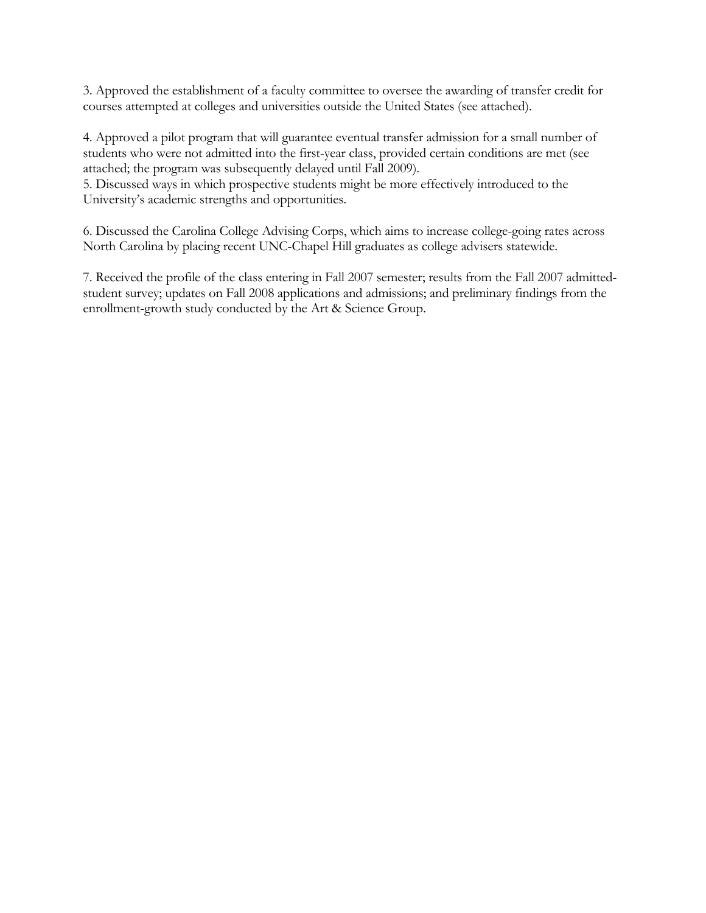3. Approved the establishment of a faculty committee to oversee the awarding of transfer credit for courses attempted at colleges and universities outside the United States (see attached).

4. Approved a pilot program that will guarantee eventual transfer admission for a small number of students who were not admitted into the first-year class, provided certain conditions are met (see attached; the program was subsequently delayed until Fall 2009).

5. Discussed ways in which prospective students might be more effectively introduced to the University's academic strengths and opportunities.

6. Discussed the Carolina College Advising Corps, which aims to increase college-going rates across North Carolina by placing recent UNC-Chapel Hill graduates as college advisers statewide.

7. Received the profile of the class entering in Fall 2007 semester; results from the Fall 2007 admittedstudent survey; updates on Fall 2008 applications and admissions; and preliminary findings from the enrollment-growth study conducted by the Art & Science Group.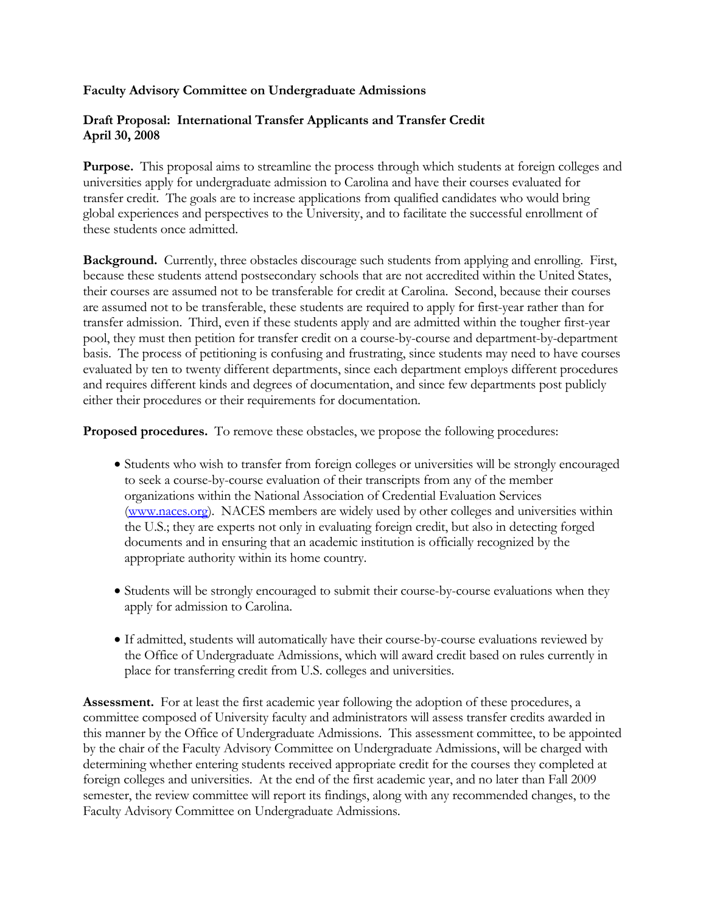#### **Faculty Advisory Committee on Undergraduate Admissions**

### **Draft Proposal: International Transfer Applicants and Transfer Credit April 30, 2008**

**Purpose.** This proposal aims to streamline the process through which students at foreign colleges and universities apply for undergraduate admission to Carolina and have their courses evaluated for transfer credit. The goals are to increase applications from qualified candidates who would bring global experiences and perspectives to the University, and to facilitate the successful enrollment of these students once admitted.

**Background.** Currently, three obstacles discourage such students from applying and enrolling. First, because these students attend postsecondary schools that are not accredited within the United States, their courses are assumed not to be transferable for credit at Carolina. Second, because their courses are assumed not to be transferable, these students are required to apply for first-year rather than for transfer admission. Third, even if these students apply and are admitted within the tougher first-year pool, they must then petition for transfer credit on a course-by-course and department-by-department basis. The process of petitioning is confusing and frustrating, since students may need to have courses evaluated by ten to twenty different departments, since each department employs different procedures and requires different kinds and degrees of documentation, and since few departments post publicly either their procedures or their requirements for documentation.

**Proposed procedures.** To remove these obstacles, we propose the following procedures:

- Students who wish to transfer from foreign colleges or universities will be strongly encouraged to seek a course-by-course evaluation of their transcripts from any of the member organizations within the National Association of Credential Evaluation Services (www.naces.org). NACES members are widely used by other colleges and universities within the U.S.; they are experts not only in evaluating foreign credit, but also in detecting forged documents and in ensuring that an academic institution is officially recognized by the appropriate authority within its home country.
- Students will be strongly encouraged to submit their course-by-course evaluations when they apply for admission to Carolina.
- If admitted, students will automatically have their course-by-course evaluations reviewed by the Office of Undergraduate Admissions, which will award credit based on rules currently in place for transferring credit from U.S. colleges and universities.

**Assessment.** For at least the first academic year following the adoption of these procedures, a committee composed of University faculty and administrators will assess transfer credits awarded in this manner by the Office of Undergraduate Admissions. This assessment committee, to be appointed by the chair of the Faculty Advisory Committee on Undergraduate Admissions, will be charged with determining whether entering students received appropriate credit for the courses they completed at foreign colleges and universities. At the end of the first academic year, and no later than Fall 2009 semester, the review committee will report its findings, along with any recommended changes, to the Faculty Advisory Committee on Undergraduate Admissions.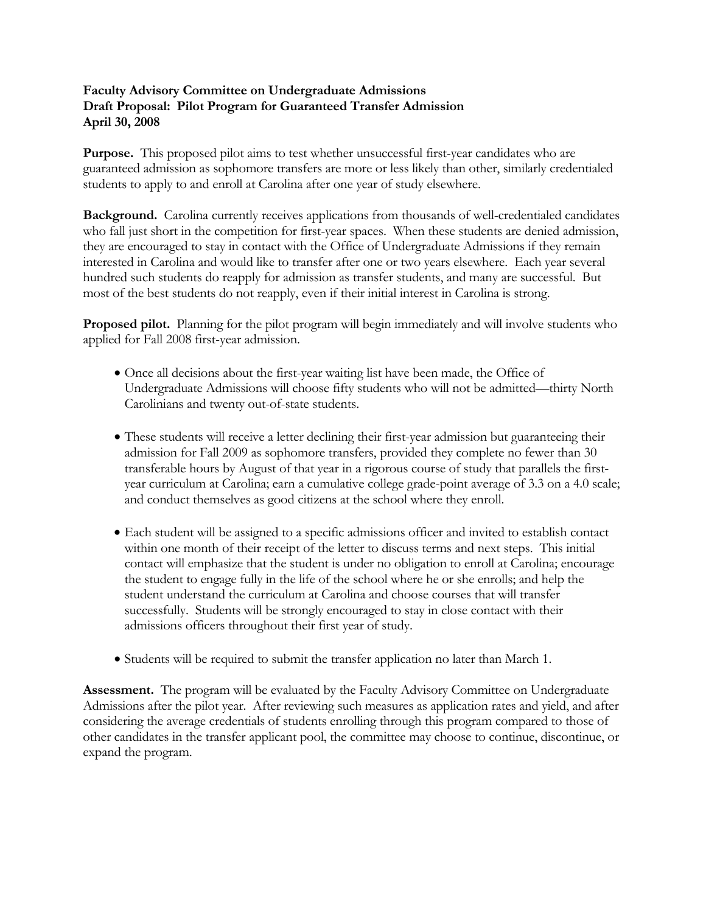#### **Faculty Advisory Committee on Undergraduate Admissions Draft Proposal: Pilot Program for Guaranteed Transfer Admission April 30, 2008**

**Purpose.** This proposed pilot aims to test whether unsuccessful first-year candidates who are guaranteed admission as sophomore transfers are more or less likely than other, similarly credentialed students to apply to and enroll at Carolina after one year of study elsewhere.

**Background.** Carolina currently receives applications from thousands of well-credentialed candidates who fall just short in the competition for first-year spaces. When these students are denied admission, they are encouraged to stay in contact with the Office of Undergraduate Admissions if they remain interested in Carolina and would like to transfer after one or two years elsewhere. Each year several hundred such students do reapply for admission as transfer students, and many are successful. But most of the best students do not reapply, even if their initial interest in Carolina is strong.

**Proposed pilot.** Planning for the pilot program will begin immediately and will involve students who applied for Fall 2008 first-year admission.

- Once all decisions about the first-year waiting list have been made, the Office of Undergraduate Admissions will choose fifty students who will not be admitted—thirty North Carolinians and twenty out-of-state students.
- These students will receive a letter declining their first-year admission but guaranteeing their admission for Fall 2009 as sophomore transfers, provided they complete no fewer than 30 transferable hours by August of that year in a rigorous course of study that parallels the firstyear curriculum at Carolina; earn a cumulative college grade-point average of 3.3 on a 4.0 scale; and conduct themselves as good citizens at the school where they enroll.
- Each student will be assigned to a specific admissions officer and invited to establish contact within one month of their receipt of the letter to discuss terms and next steps. This initial contact will emphasize that the student is under no obligation to enroll at Carolina; encourage the student to engage fully in the life of the school where he or she enrolls; and help the student understand the curriculum at Carolina and choose courses that will transfer successfully. Students will be strongly encouraged to stay in close contact with their admissions officers throughout their first year of study.
- Students will be required to submit the transfer application no later than March 1.

**Assessment.** The program will be evaluated by the Faculty Advisory Committee on Undergraduate Admissions after the pilot year. After reviewing such measures as application rates and yield, and after considering the average credentials of students enrolling through this program compared to those of other candidates in the transfer applicant pool, the committee may choose to continue, discontinue, or expand the program.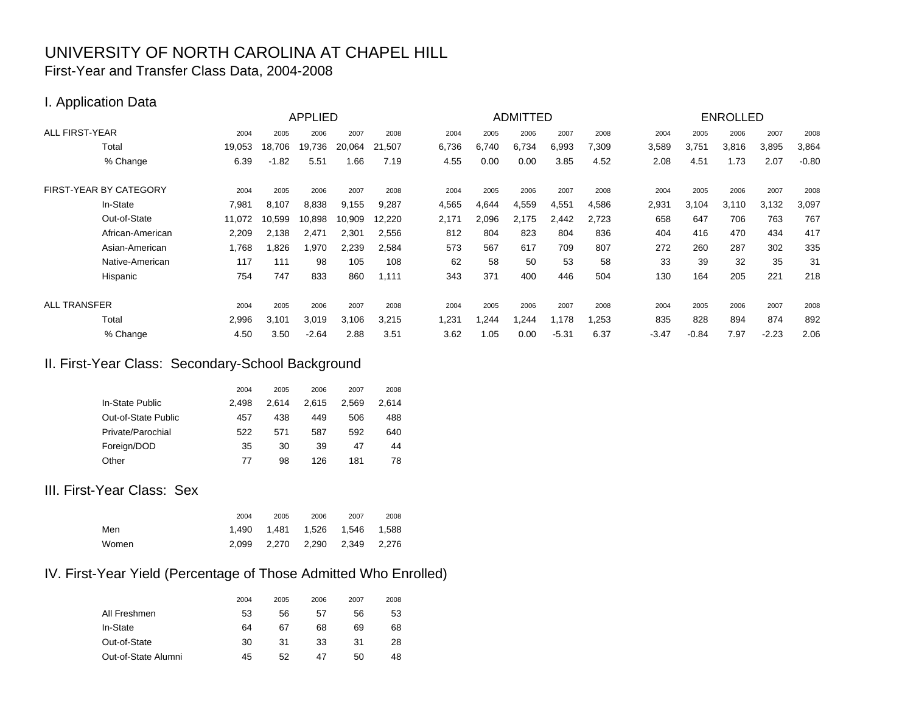## UNIVERSITY OF NORTH CAROLINA AT CHAPEL HILL First-Year and Transfer Class Data, 2004-2008

## I. Application Data

|                        |        |         | <b>APPLIED</b> |        |        |       | <b>ADMITTED</b> |       |         |       |         | <b>ENROLLED</b> |       |         |         |
|------------------------|--------|---------|----------------|--------|--------|-------|-----------------|-------|---------|-------|---------|-----------------|-------|---------|---------|
| <b>ALL FIRST-YEAR</b>  | 2004   | 2005    | 2006           | 2007   | 2008   | 2004  | 2005            | 2006  | 2007    | 2008  | 2004    | 2005            | 2006  | 2007    | 2008    |
| Total                  | 19,053 | 18.706  | 19,736         | 20,064 | 21,507 | 6,736 | 6,740           | 6,734 | 6,993   | 7,309 | 3,589   | 3,751           | 3,816 | 3,895   | 3,864   |
| % Change               | 6.39   | $-1.82$ | 5.51           | .66    | 7.19   | 4.55  | 0.00            | 0.00  | 3.85    | 4.52  | 2.08    | 4.51            | 1.73  | 2.07    | $-0.80$ |
| FIRST-YEAR BY CATEGORY | 2004   | 2005    | 2006           | 2007   | 2008   | 2004  | 2005            | 2006  | 2007    | 2008  | 2004    | 2005            | 2006  | 2007    | 2008    |
| In-State               | 7,981  | 8.107   | 8,838          | 9,155  | 9,287  | 4,565 | 4,644           | 4,559 | 4,551   | 4,586 | 2,931   | 3,104           | 3.110 | 3,132   | 3,097   |
| Out-of-State           | 11,072 | 10.599  | 10,898         | 10,909 | 12,220 | 2,171 | 2,096           | 2,175 | 2,442   | 2,723 | 658     | 647             | 706   | 763     | 767     |
| African-American       | 2,209  | 2,138   | 2,471          | 2,301  | 2,556  | 812   | 804             | 823   | 804     | 836   | 404     | 416             | 470   | 434     | 417     |
| Asian-American         | .768   | 1,826   | 1,970          | 2,239  | 2,584  | 573   | 567             | 617   | 709     | 807   | 272     | 260             | 287   | 302     | 335     |
| Native-American        | 117    | 111     | 98             | 105    | 108    | 62    | 58              | 50    | 53      | 58    | 33      | 39              | 32    | 35      | 31      |
| Hispanic               | 754    | 747     | 833            | 860    | 1,111  | 343   | 371             | 400   | 446     | 504   | 130     | 164             | 205   | 221     | 218     |
| <b>ALL TRANSFER</b>    | 2004   | 2005    | 2006           | 2007   | 2008   | 2004  | 2005            | 2006  | 2007    | 2008  | 2004    | 2005            | 2006  | 2007    | 2008    |
| Total                  | 2,996  | 3,101   | 3,019          | 3,106  | 3,215  | ,231  | .244            | ,244  | 1,178   | .253  | 835     | 828             | 894   | 874     | 892     |
| % Change               | 4.50   | 3.50    | $-2.64$        | 2.88   | 3.51   | 3.62  | 1.05            | 0.00  | $-5.31$ | 6.37  | $-3.47$ | $-0.84$         | 7.97  | $-2.23$ | 2.06    |

## II. First-Year Class: Secondary-School Background

|                     | 2004  | 2005  | 2006  | 2007  | 2008  |
|---------------------|-------|-------|-------|-------|-------|
| In-State Public     | 2.498 | 2.614 | 2.615 | 2.569 | 2.614 |
| Out-of-State Public | 457   | 438   | 449   | 506   | 488   |
| Private/Parochial   | 522   | 571   | 587   | 592   | 640   |
| Foreign/DOD         | 35    | 30    | 39    | 47    | 44    |
| Other               | 77    | 98    | 126   | 181   | 78    |

# III. First-Year Class: Sex

|       | 2004 | 2005                              | 2006 | 2007 | 2008 |
|-------|------|-----------------------------------|------|------|------|
| Men   |      | 1.490  1.481  1.526  1.546  1.588 |      |      |      |
| Women |      | 2,099 2,270 2,290 2,349 2,276     |      |      |      |

# IV. First-Year Yield (Percentage of Those Admitted Who Enrolled)

|                     | 2004 | 2005 | 2006 | 2007 | 2008 |
|---------------------|------|------|------|------|------|
| All Freshmen        | 53   | 56   | 57   | 56   | 53   |
| In-State            | 64   | 67   | 68   | 69   | 68   |
| Out-of-State        | 30   | 31   | 33   | 31   | 28   |
| Out-of-State Alumni | 45   | 52   | 47   | 50   | 48   |